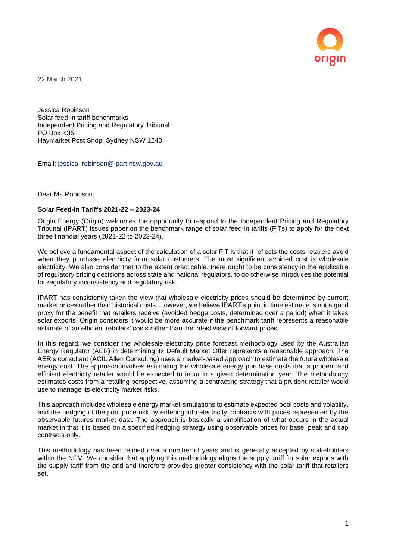

22 March 2021

Jessica Robinson Solar feed-in tariff benchmarks Independent Pricing and Regulatory Tribunal PO Box K35 Haymarket Post Shop, Sydney NSW 1240

Email: [jessica\\_robinson@ipart.nsw.gov.au](mailto:jessica_robinson@ipart.nsw.gov.au)

Dear Ms Robinson,

## **Solar Feed-in Tariffs 2021-22 – 2023-24**

Origin Energy (Origin) welcomes the opportunity to respond to the Independent Pricing and Regulatory Tribunal (IPART) issues paper on the benchmark range of solar feed-in tariffs (FiTs) to apply for the next three financial years (2021-22 to 2023-24).

We believe a fundamental aspect of the calculation of a solar FiT is that it reflects the costs retailers avoid when they purchase electricity from solar customers. The most significant avoided cost is wholesale electricity. We also consider that to the extent practicable, there ought to be consistency in the applicable of regulatory pricing decisions across state and national regulators, to do otherwise introduces the potential for regulatory inconsistency and regulatory risk.

IPART has consistently taken the view that wholesale electricity prices should be determined by current market prices rather than historical costs. However, we believe IPART's point in time estimate is not a good proxy for the benefit that retailers receive (avoided hedge costs, determined over a period) when it takes solar exports. Origin considers it would be more accurate if the benchmark tariff represents a reasonable estimate of an efficient retailers' costs rather than the latest view of forward prices.

In this regard, we consider the wholesale electricity price forecast methodology used by the Australian Energy Regulator (AER) in determining its Default Market Offer represents a reasonable approach. The AER's consultant (ACIL Allen Consulting) uses a market-based approach to estimate the future wholesale energy cost. The approach involves estimating the wholesale energy purchase costs that a prudent and efficient electricity retailer would be expected to incur in a given determination year. The methodology estimates costs from a retailing perspective, assuming a contracting strategy that a prudent retailer would use to manage its electricity market risks.

This approach includes wholesale energy market simulations to estimate expected pool costs and volatility, and the hedging of the pool price risk by entering into electricity contracts with prices represented by the observable futures market data. The approach is basically a simplification of what occurs in the actual market in that it is based on a specified hedging strategy using observable prices for base, peak and cap contracts only.

This methodology has been refined over a number of years and is generally accepted by stakeholders within the NEM. We consider that applying this methodology aligns the supply tariff for solar exports with the supply tariff from the grid and therefore provides greater consistency with the solar tariff that retailers set.